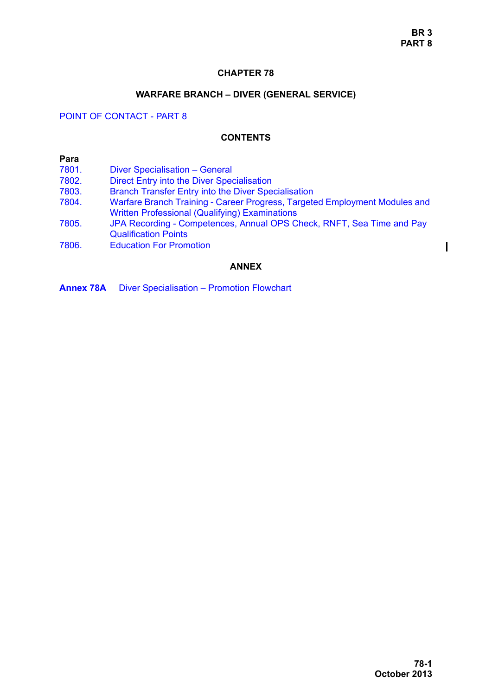## **CHAPTER 78**

### **WARFARE BRANCH – DIVER (GENERAL SERVICE)**

## <span id="page-0-0"></span>POINT OF CONTACT - PART 8

### **CONTENTS**

#### **Para** [7801. Diver Specialisation – General](#page-1-0) [7802. Direct Entry into the Diver Specialisation](#page-1-1) [7803. Branch Transfer Entry into the Diver Specialisation](#page-1-2) [7804. Warfare Branch Training - Career Progress, Targeted Employment Modules and](#page-2-0)  Written Professional (Qualifying) Examinations [7805. JPA Recording - Competences, Annual OPS Check, RNFT, Sea Time and Pay](#page-4-0)  Qualification Points

[7806. Education For Promotion](#page-6-0)

## **ANNEX**

**Annex 78A** Diver Specialisation – Promotion Flowchart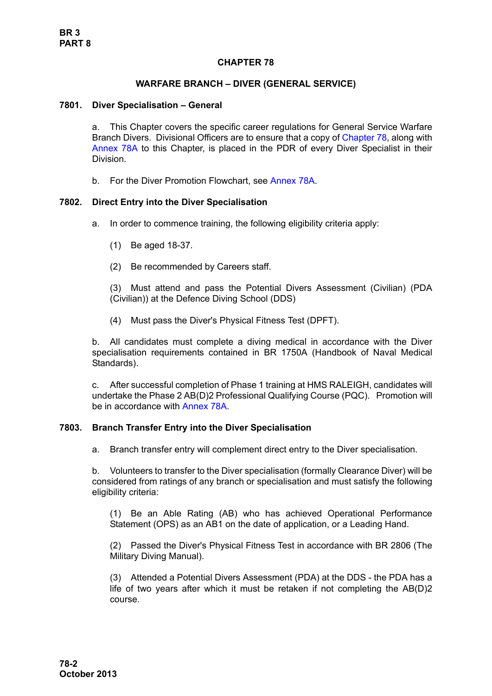# **CHAPTER 78**

## **WARFARE BRANCH – DIVER (GENERAL SERVICE)**

#### <span id="page-1-0"></span>**7801. Diver Specialisation – General**

a. This Chapter covers the specific career regulations for General Service Warfare Branch Divers. Divisional Officers are to ensure that a copy of [Chapter 78](#page-0-0), along with Annex 78A to this Chapter, is placed in the PDR of every Diver Specialist in their Division.

b. For the Diver Promotion Flowchart, see Annex 78A.

### <span id="page-1-1"></span>**7802. Direct Entry into the Diver Specialisation**

- a. In order to commence training, the following eligibility criteria apply:
	- (1) Be aged 18-37.
	- (2) Be recommended by Careers staff.

(3) Must attend and pass the Potential Divers Assessment (Civilian) (PDA (Civilian)) at the Defence Diving School (DDS)

(4) Must pass the Diver's Physical Fitness Test (DPFT).

b. All candidates must complete a diving medical in accordance with the Diver specialisation requirements contained in BR 1750A (Handbook of Naval Medical Standards).

c. After successful completion of Phase 1 training at HMS RALEIGH, candidates will undertake the Phase 2 AB(D)2 Professional Qualifying Course (PQC). Promotion will be in accordance with Annex 78A.

### <span id="page-1-2"></span>**7803. Branch Transfer Entry into the Diver Specialisation**

a. Branch transfer entry will complement direct entry to the Diver specialisation.

b. Volunteers to transfer to the Diver specialisation (formally Clearance Diver) will be considered from ratings of any branch or specialisation and must satisfy the following eligibility criteria:

(1) Be an Able Rating (AB) who has achieved Operational Performance Statement (OPS) as an AB1 on the date of application, or a Leading Hand.

(2) Passed the Diver's Physical Fitness Test in accordance with BR 2806 (The Military Diving Manual).

(3) Attended a Potential Divers Assessment (PDA) at the DDS - the PDA has a life of two years after which it must be retaken if not completing the AB(D)2 course.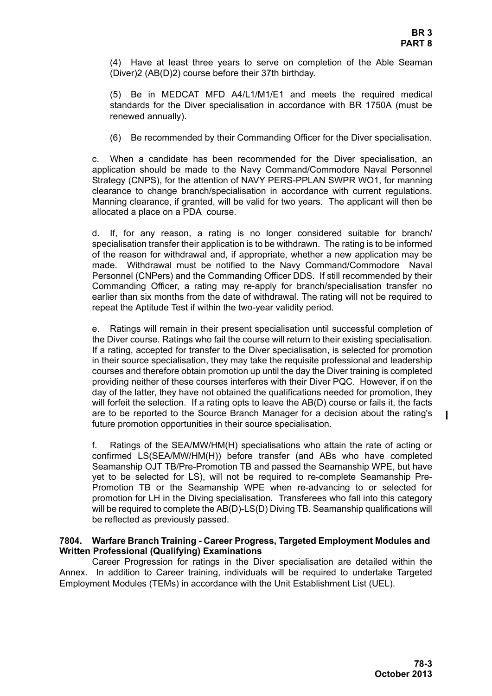(4) Have at least three years to serve on completion of the Able Seaman (Diver)2 (AB(D)2) course before their 37th birthday.

(5) Be in MEDCAT MFD A4/L1/M1/E1 and meets the required medical standards for the Diver specialisation in accordance with BR 1750A (must be renewed annually).

(6) Be recommended by their Commanding Officer for the Diver specialisation.

c. When a candidate has been recommended for the Diver specialisation, an application should be made to the Navy Command/Commodore Naval Personnel Strategy (CNPS), for the attention of NAVY PERS-PPLAN SWPR WO1, for manning clearance to change branch/specialisation in accordance with current regulations. Manning clearance, if granted, will be valid for two years. The applicant will then be allocated a place on a PDA course.

d. If, for any reason, a rating is no longer considered suitable for branch/ specialisation transfer their application is to be withdrawn. The rating is to be informed of the reason for withdrawal and, if appropriate, whether a new application may be made. Withdrawal must be notified to the Navy Command/Commodore Naval Personnel (CNPers) and the Commanding Officer DDS. If still recommended by their Commanding Officer, a rating may re-apply for branch/specialisation transfer no earlier than six months from the date of withdrawal. The rating will not be required to repeat the Aptitude Test if within the two-year validity period.

e. Ratings will remain in their present specialisation until successful completion of the Diver course. Ratings who fail the course will return to their existing specialisation. If a rating, accepted for transfer to the Diver specialisation, is selected for promotion in their source specialisation, they may take the requisite professional and leadership courses and therefore obtain promotion up until the day the Diver training is completed providing neither of these courses interferes with their Diver PQC. However, if on the day of the latter, they have not obtained the qualifications needed for promotion, they will forfeit the selection. If a rating opts to leave the AB(D) course or fails it, the facts are to be reported to the Source Branch Manager for a decision about the rating's future promotion opportunities in their source specialisation.

f. Ratings of the SEA/MW/HM(H) specialisations who attain the rate of acting or confirmed LS(SEA/MW/HM(H)) before transfer (and ABs who have completed Seamanship OJT TB/Pre-Promotion TB and passed the Seamanship WPE, but have yet to be selected for LS), will not be required to re-complete Seamanship Pre-Promotion TB or the Seamanship WPE when re-advancing to or selected for promotion for LH in the Diving specialisation. Transferees who fall into this category will be required to complete the AB(D)-LS(D) Diving TB. Seamanship qualifications will be reflected as previously passed.

### <span id="page-2-0"></span>**7804. Warfare Branch Training - Career Progress, Targeted Employment Modules and Written Professional (Qualifying) Examinations**

Career Progression for ratings in the Diver specialisation are detailed within the Annex. In addition to Career training, individuals will be required to undertake Targeted Employment Modules (TEMs) in accordance with the Unit Establishment List (UEL).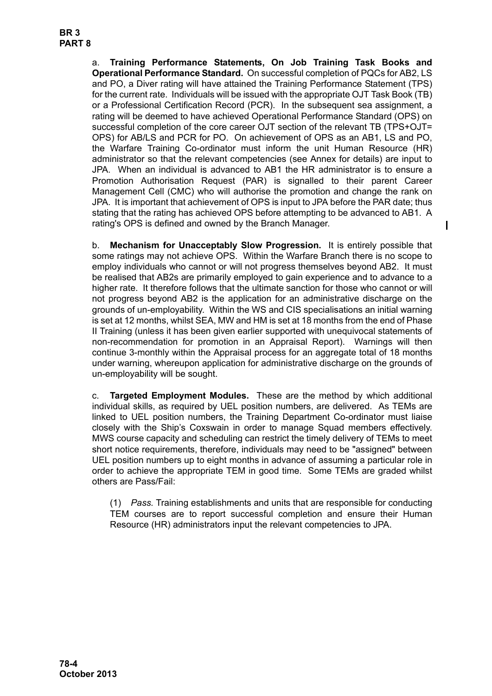a. **Training Performance Statements, On Job Training Task Books and Operational Performance Standard.** On successful completion of PQCs for AB2, LS and PO, a Diver rating will have attained the Training Performance Statement (TPS) for the current rate. Individuals will be issued with the appropriate OJT Task Book (TB) or a Professional Certification Record (PCR). In the subsequent sea assignment, a rating will be deemed to have achieved Operational Performance Standard (OPS) on successful completion of the core career OJT section of the relevant TB (TPS+OJT= OPS) for AB/LS and PCR for PO. On achievement of OPS as an AB1, LS and PO, the Warfare Training Co-ordinator must inform the unit Human Resource (HR) administrator so that the relevant competencies (see Annex for details) are input to JPA. When an individual is advanced to AB1 the HR administrator is to ensure a Promotion Authorisation Request (PAR) is signalled to their parent Career Management Cell (CMC) who will authorise the promotion and change the rank on JPA. It is important that achievement of OPS is input to JPA before the PAR date; thus stating that the rating has achieved OPS before attempting to be advanced to AB1. A rating's OPS is defined and owned by the Branch Manager.

b. **Mechanism for Unacceptably Slow Progression.** It is entirely possible that some ratings may not achieve OPS. Within the Warfare Branch there is no scope to employ individuals who cannot or will not progress themselves beyond AB2. It must be realised that AB2s are primarily employed to gain experience and to advance to a higher rate. It therefore follows that the ultimate sanction for those who cannot or will not progress beyond AB2 is the application for an administrative discharge on the grounds of un-employability. Within the WS and CIS specialisations an initial warning is set at 12 months, whilst SEA, MW and HM is set at 18 months from the end of Phase II Training (unless it has been given earlier supported with unequivocal statements of non-recommendation for promotion in an Appraisal Report). Warnings will then continue 3-monthly within the Appraisal process for an aggregate total of 18 months under warning, whereupon application for administrative discharge on the grounds of un-employability will be sought.

c. **Targeted Employment Modules.** These are the method by which additional individual skills, as required by UEL position numbers, are delivered. As TEMs are linked to UEL position numbers, the Training Department Co-ordinator must liaise closely with the Ship's Coxswain in order to manage Squad members effectively. MWS course capacity and scheduling can restrict the timely delivery of TEMs to meet short notice requirements, therefore, individuals may need to be "assigned" between UEL position numbers up to eight months in advance of assuming a particular role in order to achieve the appropriate TEM in good time. Some TEMs are graded whilst others are Pass/Fail:

(1) *Pass.* Training establishments and units that are responsible for conducting TEM courses are to report successful completion and ensure their Human Resource (HR) administrators input the relevant competencies to JPA.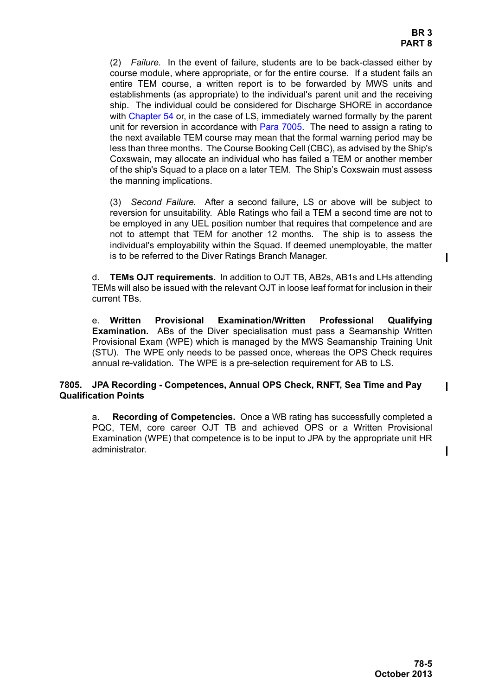(2) *Failure.* In the event of failure, students are to be back-classed either by course module, where appropriate, or for the entire course. If a student fails an entire TEM course, a written report is to be forwarded by MWS units and establishments (as appropriate) to the individual's parent unit and the receiving ship. The individual could be considered for Discharge SHORE in accordance with Chapter 54 or, in the case of LS, immediately warned formally by the parent unit for reversion in accordance with Para 7005. The need to assign a rating to the next available TEM course may mean that the formal warning period may be less than three months. The Course Booking Cell (CBC), as advised by the Ship's Coxswain, may allocate an individual who has failed a TEM or another member of the ship's Squad to a place on a later TEM. The Ship's Coxswain must assess the manning implications.

(3) *Second Failure.* After a second failure, LS or above will be subject to reversion for unsuitability. Able Ratings who fail a TEM a second time are not to be employed in any UEL position number that requires that competence and are not to attempt that TEM for another 12 months. The ship is to assess the individual's employability within the Squad. If deemed unemployable, the matter is to be referred to the Diver Ratings Branch Manager.

d. **TEMs OJT requirements.** In addition to OJT TB, AB2s, AB1s and LHs attending TEMs will also be issued with the relevant OJT in loose leaf format for inclusion in their current TBs.

e. **Written Provisional Examination/Written Professional Qualifying Examination.** ABs of the Diver specialisation must pass a Seamanship Written Provisional Exam (WPE) which is managed by the MWS Seamanship Training Unit (STU). The WPE only needs to be passed once, whereas the OPS Check requires annual re-validation. The WPE is a pre-selection requirement for AB to LS.

## <span id="page-4-0"></span>**7805. JPA Recording - Competences, Annual OPS Check, RNFT, Sea Time and Pay Qualification Points**

a. **Recording of Competencies.** Once a WB rating has successfully completed a PQC, TEM, core career OJT TB and achieved OPS or a Written Provisional Examination (WPE) that competence is to be input to JPA by the appropriate unit HR administrator.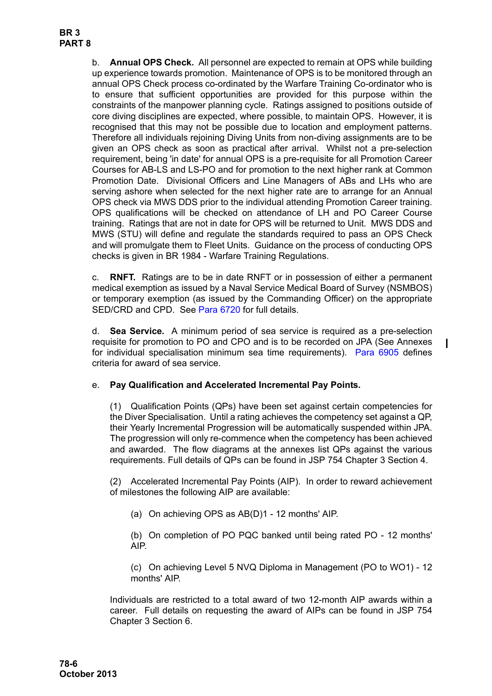b. **Annual OPS Check.** All personnel are expected to remain at OPS while building up experience towards promotion. Maintenance of OPS is to be monitored through an annual OPS Check process co-ordinated by the Warfare Training Co-ordinator who is to ensure that sufficient opportunities are provided for this purpose within the constraints of the manpower planning cycle. Ratings assigned to positions outside of core diving disciplines are expected, where possible, to maintain OPS. However, it is recognised that this may not be possible due to location and employment patterns. Therefore all individuals rejoining Diving Units from non-diving assignments are to be given an OPS check as soon as practical after arrival. Whilst not a pre-selection requirement, being 'in date' for annual OPS is a pre-requisite for all Promotion Career Courses for AB-LS and LS-PO and for promotion to the next higher rank at Common Promotion Date. Divisional Officers and Line Managers of ABs and LHs who are serving ashore when selected for the next higher rate are to arrange for an Annual OPS check via MWS DDS prior to the individual attending Promotion Career training. OPS qualifications will be checked on attendance of LH and PO Career Course training. Ratings that are not in date for OPS will be returned to Unit. MWS DDS and MWS (STU) will define and regulate the standards required to pass an OPS Check and will promulgate them to Fleet Units. Guidance on the process of conducting OPS checks is given in BR 1984 - Warfare Training Regulations.

c. **RNFT.** Ratings are to be in date RNFT or in possession of either a permanent medical exemption as issued by a Naval Service Medical Board of Survey (NSMBOS) or temporary exemption (as issued by the Commanding Officer) on the appropriate SED/CRD and CPD. See Para 6720 for full details.

d. **Sea Service.** A minimum period of sea service is required as a pre-selection requisite for promotion to PO and CPO and is to be recorded on JPA (See Annexes for individual specialisation minimum sea time requirements). Para 6905 defines criteria for award of sea service.

# e. **Pay Qualification and Accelerated Incremental Pay Points.**

(1) Qualification Points (QPs) have been set against certain competencies for the Diver Specialisation. Until a rating achieves the competency set against a QP, their Yearly Incremental Progression will be automatically suspended within JPA. The progression will only re-commence when the competency has been achieved and awarded. The flow diagrams at the annexes list QPs against the various requirements. Full details of QPs can be found in JSP 754 Chapter 3 Section 4.

(2) Accelerated Incremental Pay Points (AIP). In order to reward achievement of milestones the following AIP are available:

(a) On achieving OPS as AB(D)1 - 12 months' AIP.

(b) On completion of PO PQC banked until being rated PO - 12 months' AIP.

(c) On achieving Level 5 NVQ Diploma in Management (PO to WO1) - 12 months' AIP.

Individuals are restricted to a total award of two 12-month AIP awards within a career. Full details on requesting the award of AIPs can be found in JSP 754 Chapter 3 Section 6.